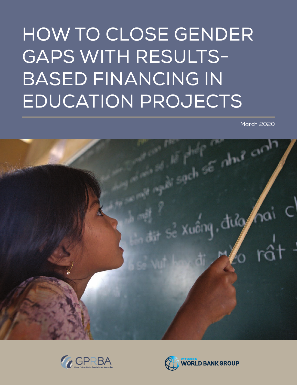# HOW TO CLOSE GENDER GAPS WITH RESULTS-BASED FINANCING IN EDUCATION PROJECTS

March 2020





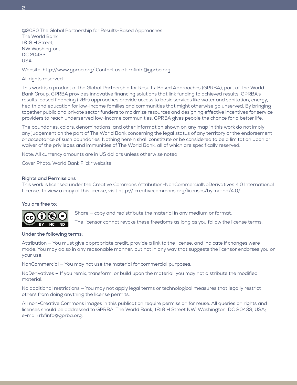@2020 The Global Partnership for Results-Based Approaches The World Bank 1818 H Street, NW Washington, DC 20433 USA

Website:<http://www.gprba.org/> Contact us at: [rbfinfo@gprba.org](mailto:rbfinfo%40gprba.org?subject=)

## All rights reserved

This work is a product of the Global Partnership for Results-Based Approaches (GPRBA), part of The World Bank Group. GPRBA provides innovative financing solutions that link funding to achieved results. GPRBA's results-based financing (RBF) approaches provide access to basic services like water and sanitation, energy, health and education for low-income families and communities that might otherwise go unserved. By bringing together public and private sector funders to maximize resources and designing effective incentives for service providers to reach underserved low-income communities, GPRBA gives people the chance for a better life.

The boundaries, colors, denominations, and other information shown on any map in this work do not imply any judgement on the part of The World Bank concerning the legal status of any territory or the endorsement or acceptance of such boundaries. Nothing herein shall constitute or be considered to be a limitation upon or waiver of the privileges and immunities of The World Bank, all of which are specifically reserved.

Note: All currency amounts are in US dollars unless otherwise noted.

Cover Photo: World Bank Flickr website.

## **Rights and Permissions**

This work is licensed under the Creative Commons Attribution-NonCommercialNoDerivatives 4.0 International License. To view a copy of this license, visit http:// creativecommons.org/licenses/by-nc-nd/4.0/

#### **You are free to:**



Share — copy and redistribute the material in any medium or format.

The licensor cannot revoke these freedoms as long as you follow the license terms.

## **Under the following terms:**

Attribution — You must give appropriate credit, provide a link to the license, and indicate if changes were made. You may do so in any reasonable manner, but not in any way that suggests the licensor endorses you or your use.

NonCommercial — You may not use the material for commercial purposes.

NoDerivatives — If you remix, transform, or build upon the material, you may not distribute the modified material.

No additional restrictions — You may not apply legal terms or technological measures that legally restrict others from doing anything the license permits.

All non-Creative Commons images in this publication require permission for reuse. All queries on rights and licenses should be addressed to GPRBA, The World Bank, 1818 H Street NW, Washington, DC 20433, USA; e-mail: [rbfinfo@gprba.org](mailto:rbfinfo%40gprba.org?subject=).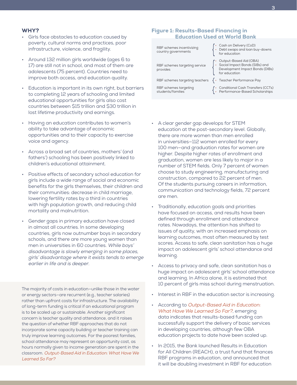## WHY?

- Girls face obstacles to education caused by poverty, cultural norms and practices, poor infrastructure, violence, and fragility.
- Around 132 million girls worldwide (ages 6 to 17) are still not in school, and most of them are adolescents (75 percent). Countries need to improve both access, and education quality.
- Education is important in its own right, but barriers to completing 12 years of schooling and limited educational opportunities for girls also cost countries between \$15 trillion and \$30 trillion in lost lifetime productivity and earnings.
- Having an education contributes to women's ability to take advantage of economic opportunities and to their capacity to exercise voice and agency.
- Across a broad set of countries, mothers' (and fathers') schooling has been positively linked to children's educational attainment.
- Positive effects of secondary school education for girls include a wide range of social and economic benefits for the girls themselves, their children and their communities: decrease in child marriage, lowering fertility rates by a third in countries with high population growth, and reducing child mortality and malnutrition.
- Gender gaps in primary education have closed in almost all countries. In some developing countries, girls now outnumber boys in secondary schools, and there are more young women than men in universities in 60 countries. While boys' disadvantage is slowly emerging in some places, girls' disadvantage where it exists tends to emerge earlier in life and is deeper.

The majority of costs in education—unlike those in the water or energy sectors—are recurrent (e.g., teacher salaries) rather than upfront costs for infrastructure. The availability of long-term funding is critical if an educational program is to be scaled up or sustainable. Another significant concern is teacher quality and attendance, and it raises the question of whether RBF approaches that do not incorporate some capacity building or teacher training can truly improve learning outcomes. For the poorest families, school attendance may represent an opportunity cost, as hours normally given to income generation are spent in the classroom. [Output-Based Aid in Education: What Have We](https://www.gprba.org/sites/www.gprba.org/files/publication/downloads/OBA49_Education.pdf)  [Learned So Far?](https://www.gprba.org/sites/www.gprba.org/files/publication/downloads/OBA49_Education.pdf)

## Figure 1: Results-Based Financing in Education Used at World Bank

RBF schemes incentivizing country governments RBF schemes targeting service provides RBF schemes targeting teachers  $\{ \cdot \}$  Teacher Performance Pay RBF schemes targeting students/families

Cash on Delivery (CoD) Debt swaps and loan buy-downs for education

- Output-Based Aid (OBA) • Social Impact Bonds (SIBs) and Development Impact Bonds (DIBs) for education
- 
- Conditional Cash Transfers (CCTs) • Performance-Based Scholarships
- A clear gender gap develops for STEM education at the post-secondary level. Globally, there are more women than men enrolled in universities—112 women enrolled for every 100 men—and graduation rates for women are higher. Despite higher rates of enrollment and graduation, women are less likely to major in a number of STEM fields. Only 7 percent of women choose to study engineering, manufacturing and construction, compared to 22 percent of men. Of the students pursuing careers in information, communication and technology fields, 72 percent are men. • Traditionally, education goals and priorities
- have focused on access, and results have been defined through enrollment and attendance rates. Nowadays, the attention has shifted to issues of quality, with an increased emphasis on learning outcomes, most often measured by test scores. Access to safe, clean sanitation has a huge impact on adolescent girls' school attendance and learning.
- Access to privacy and safe, clean sanitation has a huge impact on adolescent girls' school attendance and learning. In Africa alone, it is estimated that 10 percent of girls miss school during menstruation.
- Interest in RBF in the education sector is increasing.
- According to [Output-Based Aid in Education:](https://www.gprba.org/sites/www.gprba.org/files/publication/downloads/OBA49_Education.pdf)  [What Have We Learned So Far?](https://www.gprba.org/sites/www.gprba.org/files/publication/downloads/OBA49_Education.pdf), emerging data indicates that results-based funding can successfully support the delivery of basic services in developing countries, although few OBA education projects to date have been scaled up.
- In 2015, the Bank launched Results in Education for All Children (REACH), a trust fund that finances RBF programs in education, and announced that it will be doubling investment in RBF for education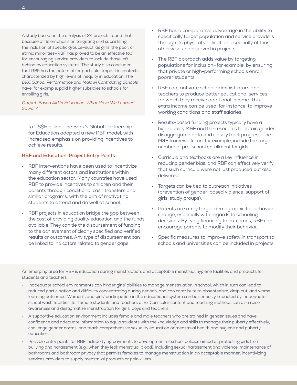A study based on the analysis of 24 projects found that because of its emphasis on targeting and subsidizing the inclusion of specific groups—such as girls, the poor, or ethnic minorities—RBF has proved to be an effective tool for encouraging service providers to include those left behind by education systems. The study also concluded that RBF has the potential for particular impact in contexts characterized by high levels of inequity in education. The DRC School Performance and Malawi Contracting Schools have, for example, paid higher subsidies to schools for enrolling girls.

[Output-Based Aid in Education: What Have We Learned](https://www.gprba.org/sites/www.gprba.org/files/publication/downloads/OBA49_Education.pdf)  So [Far?](https://www.gprba.org/sites/www.gprba.org/files/publication/downloads/OBA49_Education.pdf)

to US\$5 billion. The Bank's Global Partnership for Education adopted a new RBF model, with increased emphasis on providing incentives to achieve results.

## **RBF and Education: Project Entry Points**

- RBF interventions have been used to incentivize many different actors and institutions within the education sector. Many countries have used RBF to provide incentives to children and their parents through conditional cash transfers and similar programs, with the aim of motivating students to attend and do well at school.
- RBF projects in education bridge the gap between the cost of providing quality education and the funds available. They can tie the disbursement of funding to the achievement of clearly specified and verified results or outcomes. Any type of disbursement can be linked to indicators related to gender gaps.
- RBF has a comparative advantage in the ability to specifically target population and service providers through its physical verification, especially of those otherwise underserved in projects.
- The RBF approach adds value by targeting populations for inclusion—for example, by ensuring that private or high-performing schools enroll poorer students.
- RBF can motivate school administrators and teachers to produce better educational services for which they receive additional income. This extra income can be used, for instance, to improve working conditions and staff salaries.
- Results-based funding projects typically have a high-quality M&E and the resources to obtain gender disaggregated data and closely track progress. The M&E framework can, for example, include the target number of pre-school enrollment for girls.
- Curricula and textbooks are a key influence in reducing gender bias, and RBF can effectively verify that such curricula were not just produced but also delivered.
- Targets can be tied to outreach initiatives (prevention of gender-based violence, support of girls' study groups).
- Parents are a key target demographic for behavior change, especially with regards to schooling decisions. By tying financing to outcomes, RBF can encourage parents to modify their behavior.
- Specific measures to improve safety in transport to schools and universities can be included in projects.

An emerging area for RBF is education during menstruation, and acceptable menstrual hygiene facilities and products for students and teachers.

- Inadequate school environments can hinder girls' abilities to manage menstruation in school, which in turn can lead to reduced participation and difficulty concentrating during periods, and can contribute to absenteeism, drop out, and worse learning outcomes. Women's and girls' participation in the educational system can be seriously impacted by inadequate school wash facilities, for female students and teachers alike. Curricular content and teaching methods can also raise awareness and destigmatize menstruation for girls, boys and teachers.
- A supportive education environment includes female and male teachers who are trained in gender issues and have confidence and adequate information to equip students with the knowledge and skills to manage their puberty effectively, challenge gender norms, and teach comprehensive sexuality education or menstrual health and hygiene and puberty education.
- Possible entry points for RBF include tying payments to development of school policies aimed at protecting girls from bullying and harassment (e.g., when they leak menstrual blood), including sexual harassment and violence; maintenance of bathrooms and bathroom privacy that permits females to manage menstruation in an acceptable manner; incentivizing services providers to supply menstrual products or pain killers.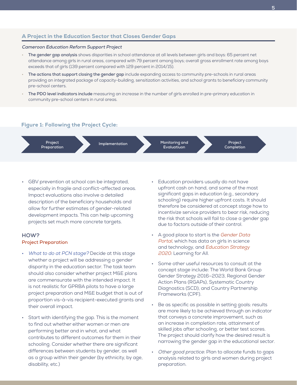# A Project in the Education Sector that Closes Gender Gaps

#### **Cameroon Education Reform Support Project**

- **The gender gap analysis** shows disparities in school attendance at all levels between girls and boys: 65 percent net attendance among girls in rural areas, compared with 79 percent among boys; overall gross enrollment rate among boys exceeds that of girls (139 percent compared with 129 percent in 2014/15).
- **The actions that support closing the gender gap** include expanding access to community pre-schools in rural areas providing an integrated package of capacity-building, sensitization activities, and school grants to beneficiary community pre-school centers.
- **The PDO level indicators include** measuring an increase in the number of girls enrolled in pre-primary education in community pre-school centers in rural areas.

## Figure 1: Following the Project Cycle:



GBV prevention at school can be integrated, especially in fragile and conflict-affected areas. Impact evaluations also involve a detailed description of the beneficiary households and allow for further estimates of gender-related development impacts. This can help upcoming projects set much more concrete targets.

# **HOW? Project Preparation**

- What to do at PCN stage? Decide at this stage whether a project will be addressing a gender disparity in the education sector. The task team should also consider whether project M&E plans are commensurate with the intended impact. It is not realistic for GPRBA pilots to have a large project preparation and M&E budget that is out of proportion vis-à-vis recipient-executed grants and their overall impact.
- Start with identifying the gap. This is the moment to find out whether either women or men are performing better and in what, and what contributes to different outcomes for them in their schooling. Consider whether there are significant differences between students by gender, as well as a group within their gender (by ethnicity, by age, disability, etc.)
- Education providers usually do not have upfront cash on hand, and some of the most significant gaps in education (e.g., secondary schooling) require higher upfront costs. It should therefore be considered at concept stage how to incentivize service providers to bear risk, reducing the risk that schools will fail to close a gender gap due to factors outside of their control.
- A good place to start is the Gender Data [Portal](http://datatopics.worldbank.org/gender/), which has data on girls in science and technology, and [Education Strategy](https://openknowledge.worldbank.org/bitstream/handle/10986/27790/649590WP0REPLA00WB0EdStrategy0final.pdf?sequence=1&isAllowed=y)  [2020](https://openknowledge.worldbank.org/bitstream/handle/10986/27790/649590WP0REPLA00WB0EdStrategy0final.pdf?sequence=1&isAllowed=y): Learning for All.
- Some other useful resources to consult at the concept stage include: The World Bank Group Gender Strategy 2016–2023, Regional Gender Action Plans (RGAPs), Systematic Country Diagnostics (SCD), and Country Partnership Frameworks (CPF).
- Be as specific as possible in setting goals: results are more likely to be achieved through an indicator that conveys a concrete improvement, such as an increase in completion rate, attainment of skilled jobs after schooling, or better test scores. The project should clarify how the desired result is narrowing the gender gap in the educational sector.
- Other good practice: Plan to allocate funds to gaps analysis related to girls and women during project preparation.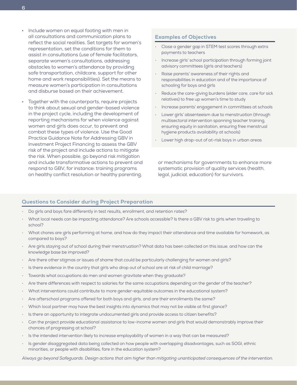- Include women on equal footing with men in all consultations and communication plans to reflect the social realities. Set targets for women's representation, set the conditions for them to assist in consultations (use of female facilitators, separate women's consultations, addressing obstacles to women's attendance by providing safe transportation, childcare, support for other home and work responsibilities). Set the means to measure women's participation in consultations and disburse based on their achievement.
- Together with the counterparts, require projects to think about sexual and gender-based violence in the project cycle, including the development of reporting mechanisms for when violence against women and girls does occur, to prevent and combat these types of violence. Use the Good Practice Guidance Note for Addressing GBV in Investment Project Financing to assess the GBV risk of the project and include actions to mitigate the risk. When possible, go beyond risk mitigation and include transformative actions to prevent and respond to GBV, for instance**:** training programs on healthy conflict resolution or healthy parenting,

## Examples of Objectives

- Close a gender gap in STEM test scores through extra payments to teachers
- Increase girls' school participation through forming joint advisory committees (girls and teachers)
- Raise parents' awareness of their rights and responsibilities in education and of the importance of schooling for boys and girls
- Reduce the care-giving burdens (elder care, care for sick relatives) to free up women's time to study
- Increase parents' engagement in committees at schools
- Lower girls' absenteeism due to menstruation (through multisectoral intervention spanning teacher training, ensuring equity in sanitation, ensuring free menstrual hygiene products availability at schools)
- Lower high drop-out of at-risk boys in urban areas

or mechanisms for governments to enhance more systematic provision of quality services (health, legal, judicial, education) for survivors.

## Questions to Consider during Project Preparation

- Do girls and boys fare differently in test results, enrollment, and retention rates?
- What local needs can be impacting attendance? Are schools accessible? Is there a GBV risk to girls when traveling to school?
- What chores are girls performing at home, and how do they impact their attendance and time available for homework, as compared to boys?
- Are girls staying out of school during their menstruation? What data has been collected on this issue, and how can the knowledge base be improved?
- Are there other stigmas or issues of shame that could be particularly challenging for women and girls?
- Is there evidence in the country that girls who drop out of school are at risk of child marriage?
- Towards what occupations do men and women gravitate when they graduate?
- Are there differences with respect to salaries for the same occupations depending on the gender of the teacher?
- What interventions could contribute to more gender-equitable outcomes in the educational system?
- Are afterschool programs offered for both boys and girls, and are their enrollments the same?
- Which local partner may have the best insights into dynamics that may not be visible at first glance?
- Is there an opportunity to integrate undocumented girls and provide access to citizen benefits?
- Can the project provide educational assistance to low-income women and girls that would demonstrably improve their chances of progressing at school?
- Is the intended intervention likely to increase employability of women in a way that can be measured?
- Is gender disaggregated data being collected on how people with overlapping disadvantages, such as SOGI, ethnic minorities, or people with disabilities, fare in the education system?

Always go beyond Safeguards. Design actions that aim higher than mitigating unanticipated consequences of the intervention.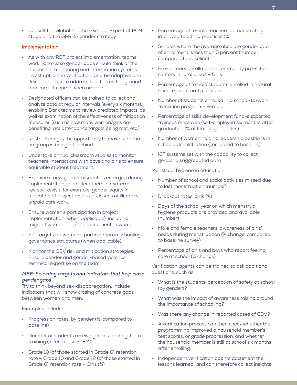• Consult the Global Practice Gender Expert at PCN stage and the GPRBA gender strategy.

## **Implementation**

- As with any RBF project implementation, teams working to close gender gaps should think of the purpose of monitoring and information systems, invest upfront in verification, and be adaptive and flexible in order to address realities on the ground and correct course when needed.
- Designated officers can be trained to collect and analyze data at regular intervals (every six months), enabling Bank teams to review predicted impacts, as well as examination of the effectiveness of mitigation measures (such as how many women/girls are benefiting, are attendance targets being met, etc.).
- Restructuring is the opportunity to make sure that no group is being left behind.
- Undertake annual classroom studies to monitor teachers' interactions with boys and girls to ensure equitable student treatment.
- Examine if new gender disparities emerged during implementation and reflect them in midterm review. Revisit, for example, gender equity in allocation of project resources, issues of illiteracy, unpaid care work.
- Ensure women's participation in project implementation (when applicable), including migrant women and/or undocumented women.
- Set targets for women's participation in schooling governance structures (when applicable).
- Monitor the GBV risk and mitigation strategies. Ensure gender and gender-based violence technical expertise on the team.

# **M&E: Selecting targets and indicators that help close gender gaps**

Try to think beyond sex-disaggregation. Include indicators that will show closing of concrete gaps between women and men.

Examples include:

- Progression rates, by gender (%, compared to baseline)
- Number of students receiving loans for long-term training (% female, % STEM)
- Grade 10 (of those started in Grade 6) retention rate – Grade 10 and Grade 12 (of those started in Grade 6) retention rate – Girls (%)
- Percentage of female teachers demonstrating improved teaching practices (%)
- Schools where the average absolute gender gap of enrollment is less than 5 percent (number, compared to baseline)
- Pre-primary enrollment in community pre-school centers in rural areas – Girls
- Percentage of female students enrolled in natural sciences and math curricula
- Number of students enrolled in a school-to-work transition program – Female
- Percentage of skills development fund-supported trainees employed/self-employed six months after graduation (% of female graduates)
- Number of women holding leadership positions in school administration (compared to baseline)
- ICT systems set with the capability to collect gender disaggregated data

Menstrual hygiene in education:

- Number of school and social activities missed due to last menstruation (number)
- Drop-out rates, girls (%)
- Days of the school year on which menstrual hygiene products are provided and available (number)
- Male and female teachers' awareness of girls' needs during menstruation (% change, compared to baseline survey)
- Percentage of girls and boys who report feeling safe at school (% change)

Verification agents can be trained to ask additional questions, such as:

- What is the students' perception of safety at school (by gender)?
- What was the impact of awareness raising around the importance of schooling?
- Was there any change in reported cases of GBV?
- A verification process can then check whether the programming improved a household member's test scores, or grade progression, and whether the household member is still at school six months after enrolling.
- Independent verification agents document the lessons learned, and can therefore collect insights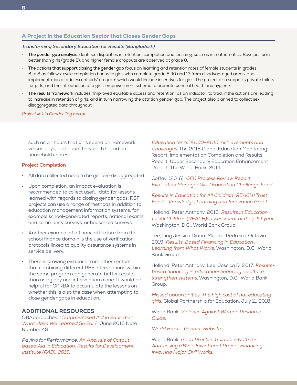# A Project in the Education Sector that Closes Gender Gaps

#### **Transforming Secondary Education for Results (Bangladesh)**

- **The gender gap analysis** identifies disparities in retention, completion and learning, such as in mathematics. Boys perform better than girls (grade 8), and higher female dropouts are observed at grade 8.
- **The actions that support closing the gender gap** focus on learning and retention rates of female students in grades 6 to 8 as follows: cycle completion bonus to girls who complete grade 8, 10 and 12 from disadvantaged areas; and implementation of adolescent girls' program which would include incentives for girls. The project also supports private toilets for girls, and the introduction of a girls' empowerment scheme to promote general health and hygiene.
- **The results framework** includes "Improved equitable access and retention" as an indicator, to track if the actions are leading to increase in retention of girls, and in turn narrowing the attrition gender gap. The project also planned to collect sex disaggregated data throughout.

#### [Project link in Gender Tag portal](https://spqscapps.worldbank.org/qs/GCCSA/Pages/ProjectDetails.aspx?ItemID=1559&FProjectID=&FProjectTitle=&FPRegion=&FPCountry=&FPGlobalPractice=&FPBoardDate=&FPFY=&FPStatus=&FPPageNo=1&querytype=)

such as on hours that girls spend on homework versus boys, and hours they each spend on household chores.

## **Project Completion**

- All data collected need to be gender-disaggregated.
- Upon completion, an impact evaluation is recommended to collect useful data for lessons learned with regards to closing gender gaps. RBF projects can use a range of methods in addition to education management information systems, for example school-generated reports, national exams, and community surveys, or household surveys.
- Another example of a financial feature from the school finance domain is the use of verification protocols linked to quality assurance systems in service delivery.
- There is growing evidence from other sectors that combining different RBF interventions within the same program can generate better results than using any one intervention alone. It would be helpful for GPRBA to accumulate the lessons on whether this is also the case when attempting to close gender gaps in education.

# ADDITIONAL RESOURCES

OBApproaches. ["Output-Based Aid in Education:](https://www.gprba.org/sites/www.gprba.org/files/publication/downloads/OBA49_Education.pdf)  [What Have We Learned So Far?](https://www.gprba.org/sites/www.gprba.org/files/publication/downloads/OBA49_Education.pdf)" June 2016 Note Number 49.

Paying for Performance: [An Analysis of Output](https://spqscapps.worldbank.org/qs/GCCSA/Pages/ProjectDetails.aspx?ItemID=1678&FProjectID=&FProjectTitle=&FPRegion=&FPCountry=&FPGlobalPractice=&FPBoardDate=&FPFY=&FPStatus=&FPPageNo=1&querytype=)[based Aid in Education. Results for Development](https://spqscapps.worldbank.org/qs/GCCSA/Pages/ProjectDetails.aspx?ItemID=1678&FProjectID=&FProjectTitle=&FPRegion=&FPCountry=&FPGlobalPractice=&FPBoardDate=&FPFY=&FPStatus=&FPPageNo=1&querytype=)  [Institute \(R4D\), 2015](https://spqscapps.worldbank.org/qs/GCCSA/Pages/ProjectDetails.aspx?ItemID=1678&FProjectID=&FProjectTitle=&FPRegion=&FPCountry=&FPGlobalPractice=&FPBoardDate=&FPFY=&FPStatus=&FPPageNo=1&querytype=).

[Education for All 2000–2015: Achievements and](https://en.unesco.org/gem-report/report/2015/education-all-2000-2015-achievements-and-challenges)  [Challenges.](https://en.unesco.org/gem-report/report/2015/education-all-2000-2015-achievements-and-challenges) The 2015 Global Education Monitoring Report. Implementation Completion and Results Report: Upper Secondary Education Enhancement Project. The World Bank, 2014.

Coffey. (2016). [GEC Process Review Report:](https://coffey.com/en/ingenuity-coffey/girls-education-challenge-fund-process-review-what-has-worked-what-has-not-and-why-a-briefing-for-decision-makers/)  [Evaluation Manager Girls' Education Challenge Fund.](https://coffey.com/en/ingenuity-coffey/girls-education-challenge-fund-process-review-what-has-worked-what-has-not-and-why-a-briefing-for-decision-makers/)

[Results in Education for All Children \(REACH\) Trust](https://www.worldbank.org/en/programs/reach)  [Fund – Knowledge, Learning and Innovation Grant](https://www.worldbank.org/en/programs/reach).

Holland, Peter Anthony. 2016. [Results in Education](http://documents.worldbank.org/curated/en/915061548222619389/Results-Based-Financing-in-Education-Learning-from-What-Works)  [for All Children \(REACH\): assessment of the pilot year](http://documents.worldbank.org/curated/en/915061548222619389/Results-Based-Financing-in-Education-Learning-from-What-Works). Washington, D.C.: World Bank Group.

Lee, Ling Jessica Diana; Medina Pedreira, Octavio. 2019. [Results-Based Financing in Education :](http://documents.worldbank.org/curated/en/915061548222619389/Results-Based-Financing-in-Education-Learning-from-What-Works)  [Learning from What Works](http://documents.worldbank.org/curated/en/915061548222619389/Results-Based-Financing-in-Education-Learning-from-What-Works). Washington, D.C.: World Bank Group.

Holland, Peter Anthony; Lee, Jessica D. 2017. [Results](http://documents.worldbank.org/curated/en/764551526626375799/Results-based-financing-in-education-financing-results-to-strengthen-systems)[based financing in education: financing results to](http://documents.worldbank.org/curated/en/764551526626375799/Results-based-financing-in-education-financing-results-to-strengthen-systems)  [strengthen systems.](http://documents.worldbank.org/curated/en/764551526626375799/Results-based-financing-in-education-financing-results-to-strengthen-systems) Washington, D.C.: World Bank Group.

[Missed opportunities: The high cost of not educating](https://www.globalpartnership.org/content/missed-opportunities-high-cost-not-educating-girls)  g[irls.](https://www.globalpartnership.org/content/missed-opportunities-high-cost-not-educating-girls) Global Partnership for Education. July 11, 2018.

World Bank. [Violence Against Women Resource](https://www.vawgresourceguide.org/)  [Guide.](https://www.vawgresourceguide.org/)

[World Bank – Gender Website.](https://worldbankgroup.sharepoint.com/sites/Gender/Pages/Home.aspx)

World Bank. [Good Practice Guidance Note for](http://pubdocs.worldbank.org/en/399881538336159607/Good-Practice-Note-Addressing-Gender-Based-Violence.pdf)  [Addressing GBV in Investment Project Financing](http://pubdocs.worldbank.org/en/399881538336159607/Good-Practice-Note-Addressing-Gender-Based-Violence.pdf)  [Involving Major Civil Works](http://pubdocs.worldbank.org/en/399881538336159607/Good-Practice-Note-Addressing-Gender-Based-Violence.pdf).